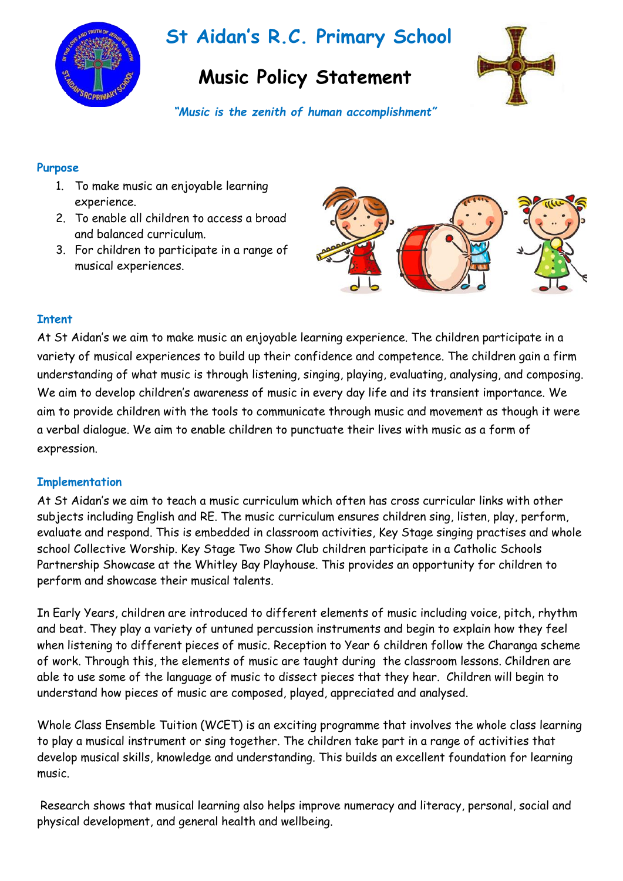

# **St Aidan's R.C. Primary School**

# **Music Policy Statement**



*"Music is the zenith of human accomplishment"*

#### **Purpose**

- 1. To make music an enjoyable learning experience.
- 2. To enable all children to access a broad and balanced curriculum.
- 3. For children to participate in a range of musical experiences.



## **Intent**

At St Aidan's we aim to make music an enjoyable learning experience. The children participate in a variety of musical experiences to build up their confidence and competence. The children gain a firm understanding of what music is through listening, singing, playing, evaluating, analysing, and composing. We aim to develop children's awareness of music in every day life and its transient importance. We aim to provide children with the tools to communicate through music and movement as though it were a verbal dialogue. We aim to enable children to punctuate their lives with music as a form of expression.

### **Implementation**

At St Aidan's we aim to teach a music curriculum which often has cross curricular links with other subjects including English and RE. The music curriculum ensures children sing, listen, play, perform, evaluate and respond. This is embedded in classroom activities, Key Stage singing practises and whole school Collective Worship. Key Stage Two Show Club children participate in a Catholic Schools Partnership Showcase at the Whitley Bay Playhouse. This provides an opportunity for children to perform and showcase their musical talents.

In Early Years, children are introduced to different elements of music including voice, pitch, rhythm and beat. They play a variety of untuned percussion instruments and begin to explain how they feel when listening to different pieces of music. Reception to Year 6 children follow the Charanga scheme of work. Through this, the elements of music are taught during the classroom lessons. Children are able to use some of the language of music to dissect pieces that they hear. Children will begin to understand how pieces of music are composed, played, appreciated and analysed.

Whole Class Ensemble Tuition (WCET) is an exciting programme that involves the whole class learning to play a musical instrument or sing together. The children take part in a range of activities that develop musical skills, knowledge and understanding. This builds an excellent foundation for learning music.

Research shows that musical learning also helps improve numeracy and literacy, personal, social and physical development, and general health and wellbeing.